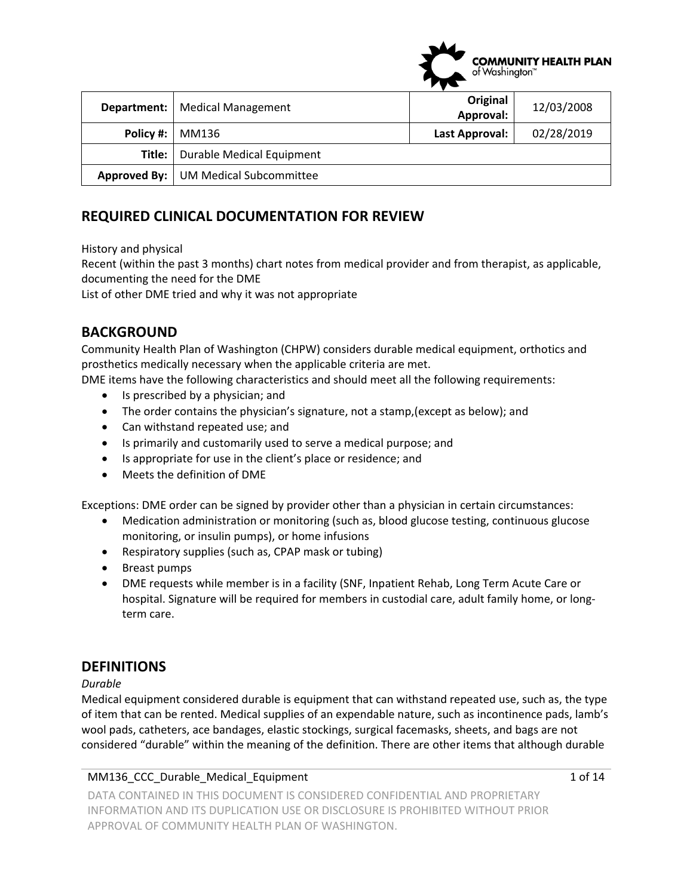| Department: | <b>Medical Management</b>                   | Original       | 12/03/2008 |
|-------------|---------------------------------------------|----------------|------------|
|             |                                             | Approval:      |            |
| Policy #:   | MM136                                       | Last Approval: | 02/28/2019 |
| Title:      | Durable Medical Equipment                   |                |            |
|             | <b>Approved By:</b> UM Medical Subcommittee |                |            |

# **REQUIRED CLINICAL DOCUMENTATION FOR REVIEW**

History and physical

 documenting the need for the DME Recent (within the past 3 months) chart notes from medical provider and from therapist, as applicable,

List of other DME tried and why it was not appropriate

## **BACKGROUND**

Community Health Plan of Washington (CHPW) considers durable medical equipment, orthotics and prosthetics medically necessary when the applicable criteria are met.

DME items have the following characteristics and should meet all the following requirements:

- Is prescribed by a physician; and
- The order contains the physician's signature, not a stamp,(except as below); and
- Can withstand repeated use; and
- Is primarily and customarily used to serve a medical purpose; and
- Is appropriate for use in the client's place or residence; and
- Meets the definition of DME

Exceptions: DME order can be signed by provider other than a physician in certain circumstances:

- Medication administration or monitoring (such as, blood glucose testing, continuous glucose monitoring, or insulin pumps), or home infusions
- Respiratory supplies (such as, CPAP mask or tubing)
- Breast pumps
- DME requests while member is in a facility (SNF, Inpatient Rehab, Long Term Acute Care or hospital. Signature will be required for members in custodial care, adult family home, or long‐ term care.

## **DEFINITIONS**

#### *Durable*

Medical equipment considered durable is equipment that can withstand repeated use, such as, the type of item that can be rented. Medical supplies of an expendable nature, such as incontinence pads, lamb's wool pads, catheters, ace bandages, elastic stockings, surgical facemasks, sheets, and bags are not considered "durable" within the meaning of the definition. There are other items that although durable

#### MM136\_CCC\_Durable\_Medical\_Equipment 1 of 14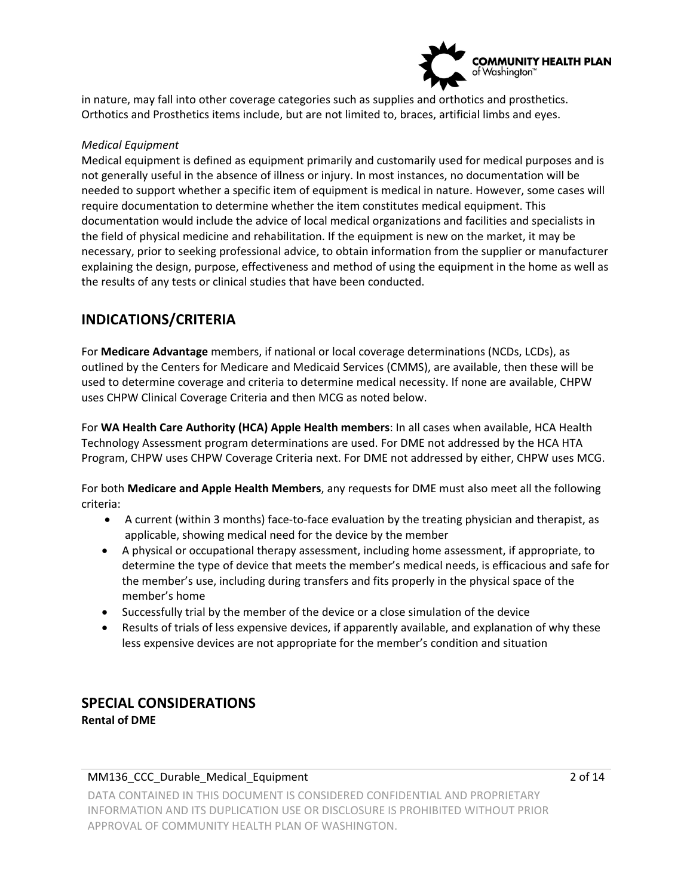

in nature, may fall into other coverage categories such as supplies and orthotics and prosthetics. Orthotics and Prosthetics items include, but are not limited to, braces, artificial limbs and eyes.

#### *Medical Equipment*

 require documentation to determine whether the item constitutes medical equipment. This the field of physical medicine and rehabilitation. If the equipment is new on the market, it may be Medical equipment is defined as equipment primarily and customarily used for medical purposes and is not generally useful in the absence of illness or injury. In most instances, no documentation will be needed to support whether a specific item of equipment is medical in nature. However, some cases will documentation would include the advice of local medical organizations and facilities and specialists in necessary, prior to seeking professional advice, to obtain information from the supplier or manufacturer explaining the design, purpose, effectiveness and method of using the equipment in the home as well as the results of any tests or clinical studies that have been conducted.

## **INDICATIONS/CRITERIA**

For **Medicare Advantage** members, if national or local coverage determinations (NCDs, LCDs), as outlined by the Centers for Medicare and Medicaid Services (CMMS), are available, then these will be used to determine coverage and criteria to determine medical necessity. If none are available, CHPW uses CHPW Clinical Coverage Criteria and then MCG as noted below.

For **WA Health Care Authority (HCA) Apple Health members**: In all cases when available, HCA Health Technology Assessment program determinations are used. For DME not addressed by the HCA HTA Program, CHPW uses CHPW Coverage Criteria next. For DME not addressed by either, CHPW uses MCG.

For both **Medicare and Apple Health Members**, any requests for DME must also meet all the following criteria:

- A current (within 3 months) face-to-face evaluation by the treating physician and therapist, as applicable, showing medical need for the device by the member
- determine the type of device that meets the member's medical needs, is efficacious and safe for the member's use, including during transfers and fits properly in the physical space of the A physical or occupational therapy assessment, including home assessment, if appropriate, to member's home
- Successfully trial by the member of the device or a close simulation of the device
- Results of trials of less expensive devices, if apparently available, and explanation of why these less expensive devices are not appropriate for the member's condition and situation

# **SPECIAL CONSIDERATIONS**

**Rental of DME** 

#### MM136 CCC Durable Medical Equipment 2 of 14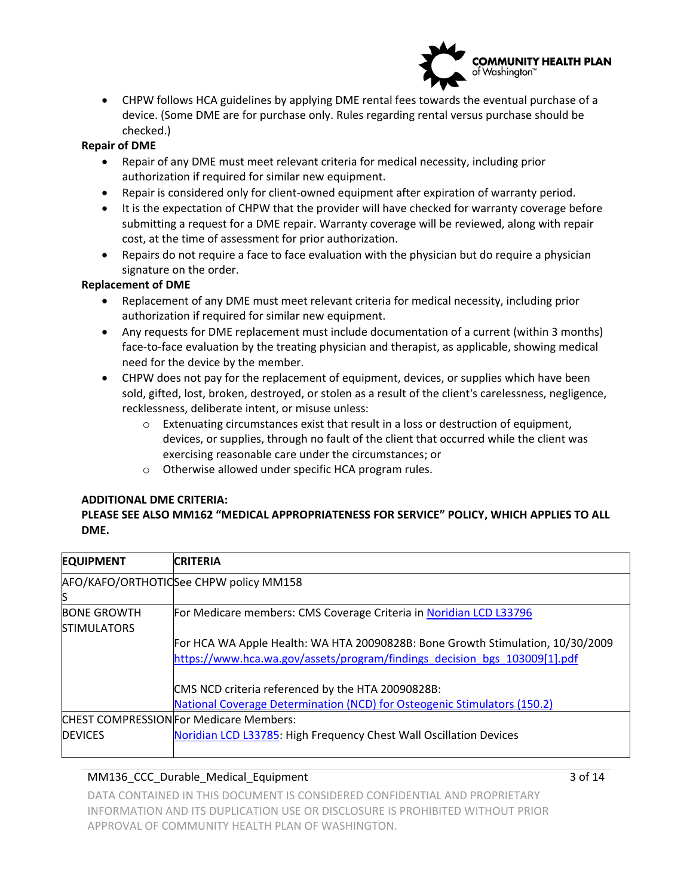

 CHPW follows HCA guidelines by applying DME rental fees towards the eventual purchase of a device. (Some DME are for purchase only. Rules regarding rental versus purchase should be checked.)

#### **Repair of DME**

- Repair of any DME must meet relevant criteria for medical necessity, including prior authorization if required for similar new equipment.
- Repair is considered only for client-owned equipment after expiration of warranty period.
- It is the expectation of CHPW that the provider will have checked for warranty coverage before submitting a request for a DME repair. Warranty coverage will be reviewed, along with repair cost, at the time of assessment for prior authorization.
- Repairs do not require a face to face evaluation with the physician but do require a physician signature on the order.

#### **Replacement of DME**

- authorization if required for similar new equipment. Replacement of any DME must meet relevant criteria for medical necessity, including prior
- face‐to‐face evaluation by the treating physician and therapist, as applicable, showing medical Any requests for DME replacement must include documentation of a current (within 3 months) need for the device by the member.
- CHPW does not pay for the replacement of equipment, devices, or supplies which have been sold, gifted, lost, broken, destroyed, or stolen as a result of the client's carelessness, negligence, recklessness, deliberate intent, or misuse unless:
	- devices, or supplies, through no fault of the client that occurred while the client was  $\circ$  Extenuating circumstances exist that result in a loss or destruction of equipment, exercising reasonable care under the circumstances; or
	- o Otherwise allowed under specific HCA program rules.

#### **ADDITIONAL DME CRITERIA:**

## **PLEASE SEE ALSO MM162 "MEDICAL APPROPRIATENESS FOR SERVICE" POLICY, WHICH APPLIES TO ALL DME.**

| <b>EQUIPMENT</b>                         | <b>CRITERIA</b>                                                                |  |  |
|------------------------------------------|--------------------------------------------------------------------------------|--|--|
|                                          | AFO/KAFO/ORTHOTICSee CHPW policy MM158                                         |  |  |
| S                                        |                                                                                |  |  |
| <b>BONE GROWTH</b><br><b>STIMULATORS</b> | For Medicare members: CMS Coverage Criteria in Noridian LCD L33796             |  |  |
|                                          | For HCA WA Apple Health: WA HTA 20090828B: Bone Growth Stimulation, 10/30/2009 |  |  |
|                                          | https://www.hca.wa.gov/assets/program/findings decision bgs 103009[1].pdf      |  |  |
|                                          | CMS NCD criteria referenced by the HTA 20090828B:                              |  |  |
|                                          | National Coverage Determination (NCD) for Osteogenic Stimulators (150.2)       |  |  |
|                                          | <b>CHEST COMPRESSION For Medicare Members:</b>                                 |  |  |
| <b>DEVICES</b>                           | Noridian LCD L33785: High Frequency Chest Wall Oscillation Devices             |  |  |

### MM136\_CCC\_Durable\_Medical\_Equipment 3 of 14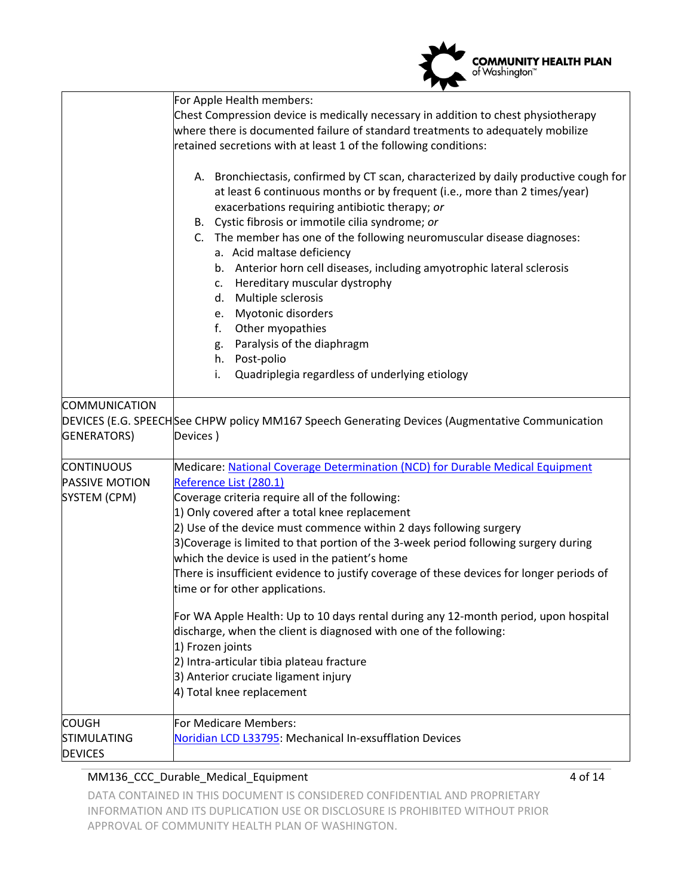|                                                            | <b>COMMUNITY HEALTH PLAN</b><br>of Washington™                                                                                                                                                                                                                                                                                                                                                                                                                                                                                                                                                                                                                                                                                                                                                                                                                                                                                                                             |
|------------------------------------------------------------|----------------------------------------------------------------------------------------------------------------------------------------------------------------------------------------------------------------------------------------------------------------------------------------------------------------------------------------------------------------------------------------------------------------------------------------------------------------------------------------------------------------------------------------------------------------------------------------------------------------------------------------------------------------------------------------------------------------------------------------------------------------------------------------------------------------------------------------------------------------------------------------------------------------------------------------------------------------------------|
|                                                            | For Apple Health members:<br>Chest Compression device is medically necessary in addition to chest physiotherapy<br>where there is documented failure of standard treatments to adequately mobilize<br>retained secretions with at least 1 of the following conditions:<br>A. Bronchiectasis, confirmed by CT scan, characterized by daily productive cough for<br>at least 6 continuous months or by frequent (i.e., more than 2 times/year)<br>exacerbations requiring antibiotic therapy; or<br>B. Cystic fibrosis or immotile cilia syndrome; or<br>C. The member has one of the following neuromuscular disease diagnoses:<br>a. Acid maltase deficiency<br>b. Anterior horn cell diseases, including amyotrophic lateral sclerosis<br>Hereditary muscular dystrophy<br>C.<br>Multiple sclerosis<br>d.<br>e. Myotonic disorders<br>Other myopathies<br>f.<br>Paralysis of the diaphragm<br>g.<br>h. Post-polio<br>Quadriplegia regardless of underlying etiology<br>i. |
| COMMUNICATION<br>GENERATORS)                               | DEVICES (E.G. SPEECHSee CHPW policy MM167 Speech Generating Devices (Augmentative Communication<br>Devices)                                                                                                                                                                                                                                                                                                                                                                                                                                                                                                                                                                                                                                                                                                                                                                                                                                                                |
| <b>CONTINUOUS</b><br><b>PASSIVE MOTION</b><br>SYSTEM (CPM) | Medicare: National Coverage Determination (NCD) for Durable Medical Equipment<br>Reference List (280.1)<br>Coverage criteria require all of the following:<br>1) Only covered after a total knee replacement<br>2) Use of the device must commence within 2 days following surgery<br>3) Coverage is limited to that portion of the 3-week period following surgery during<br>which the device is used in the patient's home<br>There is insufficient evidence to justify coverage of these devices for longer periods of<br>time or for other applications.<br>For WA Apple Health: Up to 10 days rental during any 12-month period, upon hospital<br>discharge, when the client is diagnosed with one of the following:<br>1) Frozen joints<br>2) Intra-articular tibia plateau fracture<br>3) Anterior cruciate ligament injury<br>4) Total knee replacement                                                                                                            |
| <b>COUGH</b><br>STIMULATING<br><b>DEVICES</b>              | For Medicare Members:<br>Noridian LCD L33795: Mechanical In-exsufflation Devices                                                                                                                                                                                                                                                                                                                                                                                                                                                                                                                                                                                                                                                                                                                                                                                                                                                                                           |

## MM136\_CCC\_Durable\_Medical\_Equipment 4 of 14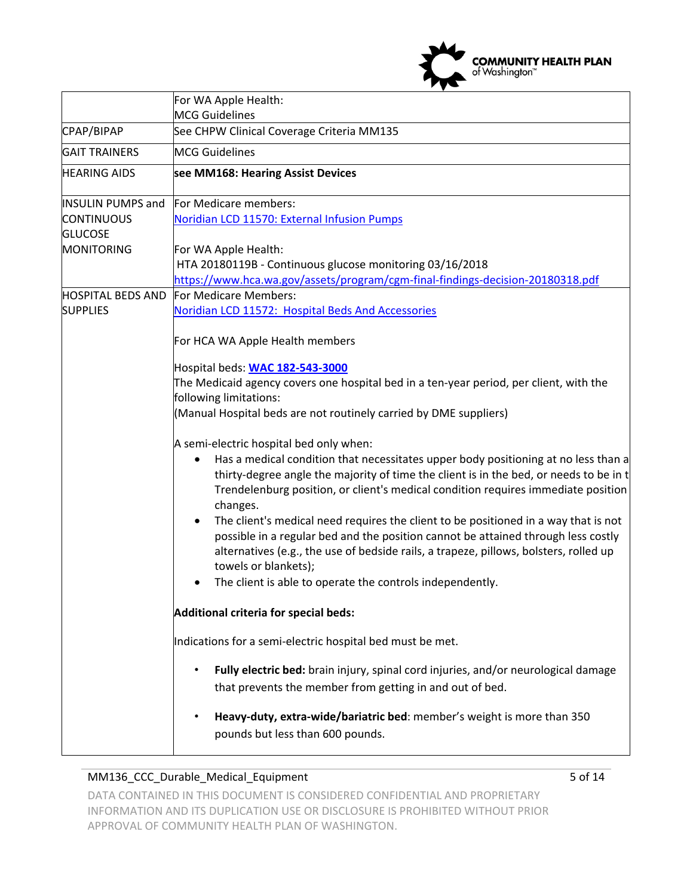

|                                                                                      | For WA Apple Health:                                                                                                                                                                                                                                                                                                                                                                                                                                                                                                                                                                                                                                                                                                                                                                                                                                                                                                                                           |  |  |
|--------------------------------------------------------------------------------------|----------------------------------------------------------------------------------------------------------------------------------------------------------------------------------------------------------------------------------------------------------------------------------------------------------------------------------------------------------------------------------------------------------------------------------------------------------------------------------------------------------------------------------------------------------------------------------------------------------------------------------------------------------------------------------------------------------------------------------------------------------------------------------------------------------------------------------------------------------------------------------------------------------------------------------------------------------------|--|--|
|                                                                                      | <b>MCG</b> Guidelines                                                                                                                                                                                                                                                                                                                                                                                                                                                                                                                                                                                                                                                                                                                                                                                                                                                                                                                                          |  |  |
| CPAP/BIPAP                                                                           | See CHPW Clinical Coverage Criteria MM135                                                                                                                                                                                                                                                                                                                                                                                                                                                                                                                                                                                                                                                                                                                                                                                                                                                                                                                      |  |  |
| <b>GAIT TRAINERS</b>                                                                 | <b>MCG Guidelines</b>                                                                                                                                                                                                                                                                                                                                                                                                                                                                                                                                                                                                                                                                                                                                                                                                                                                                                                                                          |  |  |
| <b>HEARING AIDS</b>                                                                  | see MM168: Hearing Assist Devices                                                                                                                                                                                                                                                                                                                                                                                                                                                                                                                                                                                                                                                                                                                                                                                                                                                                                                                              |  |  |
| <b>INSULIN PUMPS and</b><br><b>CONTINUOUS</b><br><b>GLUCOSE</b><br><b>MONITORING</b> | For Medicare members:<br>Noridian LCD 11570: External Infusion Pumps<br>For WA Apple Health:                                                                                                                                                                                                                                                                                                                                                                                                                                                                                                                                                                                                                                                                                                                                                                                                                                                                   |  |  |
|                                                                                      | HTA 20180119B - Continuous glucose monitoring 03/16/2018<br>https://www.hca.wa.gov/assets/program/cgm-final-findings-decision-20180318.pdf                                                                                                                                                                                                                                                                                                                                                                                                                                                                                                                                                                                                                                                                                                                                                                                                                     |  |  |
| <b>HOSPITAL BEDS AND</b><br><b>SUPPLIES</b>                                          | For Medicare Members:<br>Noridian LCD 11572: Hospital Beds And Accessories                                                                                                                                                                                                                                                                                                                                                                                                                                                                                                                                                                                                                                                                                                                                                                                                                                                                                     |  |  |
|                                                                                      | For HCA WA Apple Health members<br>Hospital beds: WAC 182-543-3000<br>The Medicaid agency covers one hospital bed in a ten-year period, per client, with the<br>following limitations:<br>(Manual Hospital beds are not routinely carried by DME suppliers)<br>A semi-electric hospital bed only when:<br>Has a medical condition that necessitates upper body positioning at no less than a<br>thirty-degree angle the majority of time the client is in the bed, or needs to be in t<br>Trendelenburg position, or client's medical condition requires immediate position<br>changes.<br>The client's medical need requires the client to be positioned in a way that is not<br>$\bullet$<br>possible in a regular bed and the position cannot be attained through less costly<br>alternatives (e.g., the use of bedside rails, a trapeze, pillows, bolsters, rolled up<br>towels or blankets);<br>The client is able to operate the controls independently. |  |  |
|                                                                                      | Additional criteria for special beds:                                                                                                                                                                                                                                                                                                                                                                                                                                                                                                                                                                                                                                                                                                                                                                                                                                                                                                                          |  |  |
|                                                                                      | Indications for a semi-electric hospital bed must be met.                                                                                                                                                                                                                                                                                                                                                                                                                                                                                                                                                                                                                                                                                                                                                                                                                                                                                                      |  |  |
|                                                                                      | Fully electric bed: brain injury, spinal cord injuries, and/or neurological damage<br>that prevents the member from getting in and out of bed.                                                                                                                                                                                                                                                                                                                                                                                                                                                                                                                                                                                                                                                                                                                                                                                                                 |  |  |
|                                                                                      | Heavy-duty, extra-wide/bariatric bed: member's weight is more than 350<br>$\bullet$<br>pounds but less than 600 pounds.                                                                                                                                                                                                                                                                                                                                                                                                                                                                                                                                                                                                                                                                                                                                                                                                                                        |  |  |

## MM136\_CCC\_Durable\_Medical\_Equipment 5 of 14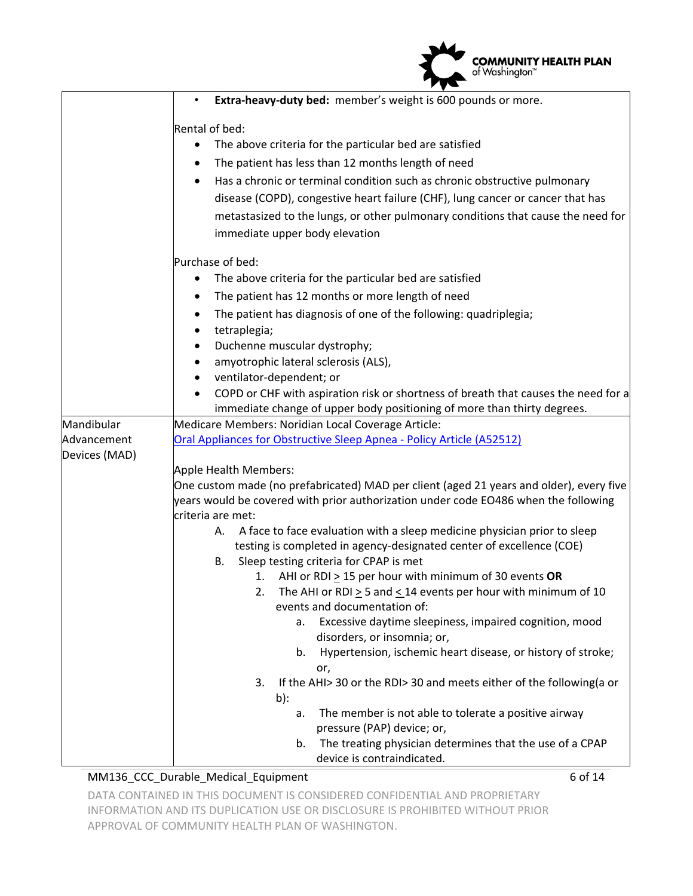|                                            | <b>COMMUNITY HEALTH PLAN</b><br>of Washington <sup>™</sup>                                                                                                                                                                                                                                                                                                                                                                                                                                                                                                                                                                                                                                                                                                                                                                                                                                                                                                                                                                                                             |
|--------------------------------------------|------------------------------------------------------------------------------------------------------------------------------------------------------------------------------------------------------------------------------------------------------------------------------------------------------------------------------------------------------------------------------------------------------------------------------------------------------------------------------------------------------------------------------------------------------------------------------------------------------------------------------------------------------------------------------------------------------------------------------------------------------------------------------------------------------------------------------------------------------------------------------------------------------------------------------------------------------------------------------------------------------------------------------------------------------------------------|
|                                            | Extra-heavy-duty bed: member's weight is 600 pounds or more.                                                                                                                                                                                                                                                                                                                                                                                                                                                                                                                                                                                                                                                                                                                                                                                                                                                                                                                                                                                                           |
|                                            | Rental of bed:<br>The above criteria for the particular bed are satisfied<br>The patient has less than 12 months length of need<br>$\bullet$<br>Has a chronic or terminal condition such as chronic obstructive pulmonary<br>disease (COPD), congestive heart failure (CHF), lung cancer or cancer that has<br>metastasized to the lungs, or other pulmonary conditions that cause the need for<br>immediate upper body elevation                                                                                                                                                                                                                                                                                                                                                                                                                                                                                                                                                                                                                                      |
|                                            | Purchase of bed:<br>The above criteria for the particular bed are satisfied<br>The patient has 12 months or more length of need<br>The patient has diagnosis of one of the following: quadriplegia;<br>tetraplegia;<br>Duchenne muscular dystrophy;<br>amyotrophic lateral sclerosis (ALS),<br>ventilator-dependent; or<br>COPD or CHF with aspiration risk or shortness of breath that causes the need for a                                                                                                                                                                                                                                                                                                                                                                                                                                                                                                                                                                                                                                                          |
| Mandibular<br>Advancement<br>Devices (MAD) | immediate change of upper body positioning of more than thirty degrees.<br>Medicare Members: Noridian Local Coverage Article:<br>Oral Appliances for Obstructive Sleep Apnea - Policy Article (A52512)<br>Apple Health Members:                                                                                                                                                                                                                                                                                                                                                                                                                                                                                                                                                                                                                                                                                                                                                                                                                                        |
|                                            | One custom made (no prefabricated) MAD per client (aged 21 years and older), every five<br>years would be covered with prior authorization under code EO486 when the following<br>criteria are met:<br>A face to face evaluation with a sleep medicine physician prior to sleep<br>А.<br>testing is completed in agency-designated center of excellence (COE)<br><b>B.</b><br>Sleep testing criteria for CPAP is met<br>AHI or RDI $\geq$ 15 per hour with minimum of 30 events OR<br>1.<br>The AHI or RDI $\geq$ 5 and $\leq$ 14 events per hour with minimum of 10<br>2.<br>events and documentation of:<br>Excessive daytime sleepiness, impaired cognition, mood<br>a.<br>disorders, or insomnia; or,<br>Hypertension, ischemic heart disease, or history of stroke;<br>b.<br>or,<br>If the AHI> 30 or the RDI> 30 and meets either of the following(a or<br>3.<br>b):<br>The member is not able to tolerate a positive airway<br>а.<br>pressure (PAP) device; or,<br>The treating physician determines that the use of a CPAP<br>b.<br>device is contraindicated. |

### MM136\_CCC\_Durable\_Medical\_Equipment 6 of 14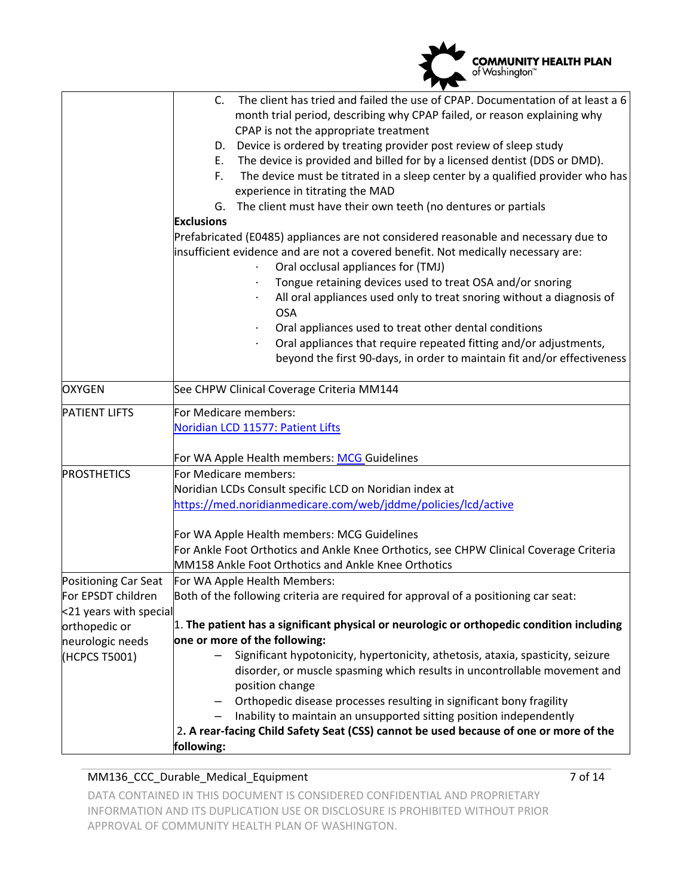|                                              | <b>COMMUNITY HEALTH PLAN</b><br>of Washington™                                                                                                                                                                                                                                                                                                                                                                                                                                                                                                                                                                                                                                                                                                                                                                                                                                                                                                                                                                                                                                                    |  |  |
|----------------------------------------------|---------------------------------------------------------------------------------------------------------------------------------------------------------------------------------------------------------------------------------------------------------------------------------------------------------------------------------------------------------------------------------------------------------------------------------------------------------------------------------------------------------------------------------------------------------------------------------------------------------------------------------------------------------------------------------------------------------------------------------------------------------------------------------------------------------------------------------------------------------------------------------------------------------------------------------------------------------------------------------------------------------------------------------------------------------------------------------------------------|--|--|
|                                              | The client has tried and failed the use of CPAP. Documentation of at least a 6<br>C.<br>month trial period, describing why CPAP failed, or reason explaining why<br>CPAP is not the appropriate treatment<br>Device is ordered by treating provider post review of sleep study<br>D.<br>The device is provided and billed for by a licensed dentist (DDS or DMD).<br>E.<br>The device must be titrated in a sleep center by a qualified provider who has<br>F.<br>experience in titrating the MAD<br>The client must have their own teeth (no dentures or partials<br>G.<br><b>Exclusions</b><br>Prefabricated (E0485) appliances are not considered reasonable and necessary due to<br>insufficient evidence and are not a covered benefit. Not medically necessary are:<br>Oral occlusal appliances for (TMJ)<br>Tongue retaining devices used to treat OSA and/or snoring<br>All oral appliances used only to treat snoring without a diagnosis of<br><b>OSA</b><br>Oral appliances used to treat other dental conditions<br>Oral appliances that require repeated fitting and/or adjustments, |  |  |
|                                              | beyond the first 90-days, in order to maintain fit and/or effectiveness                                                                                                                                                                                                                                                                                                                                                                                                                                                                                                                                                                                                                                                                                                                                                                                                                                                                                                                                                                                                                           |  |  |
| OXYGEN                                       | See CHPW Clinical Coverage Criteria MM144                                                                                                                                                                                                                                                                                                                                                                                                                                                                                                                                                                                                                                                                                                                                                                                                                                                                                                                                                                                                                                                         |  |  |
| <b>PATIENT LIFTS</b>                         | For Medicare members:<br>Noridian LCD 11577: Patient Lifts                                                                                                                                                                                                                                                                                                                                                                                                                                                                                                                                                                                                                                                                                                                                                                                                                                                                                                                                                                                                                                        |  |  |
| <b>PROSTHETICS</b>                           | For WA Apple Health members: MCG Guidelines<br>For Medicare members:<br>Noridian LCDs Consult specific LCD on Noridian index at<br>https://med.noridianmedicare.com/web/jddme/policies/lcd/active<br>For WA Apple Health members: MCG Guidelines<br>For Ankle Foot Orthotics and Ankle Knee Orthotics, see CHPW Clinical Coverage Criteria                                                                                                                                                                                                                                                                                                                                                                                                                                                                                                                                                                                                                                                                                                                                                        |  |  |
| <b>Positioning Car Seat</b>                  | MM158 Ankle Foot Orthotics and Ankle Knee Orthotics<br>For WA Apple Health Members:                                                                                                                                                                                                                                                                                                                                                                                                                                                                                                                                                                                                                                                                                                                                                                                                                                                                                                                                                                                                               |  |  |
| For EPSDT children<br><21 years with special | Both of the following criteria are required for approval of a positioning car seat:                                                                                                                                                                                                                                                                                                                                                                                                                                                                                                                                                                                                                                                                                                                                                                                                                                                                                                                                                                                                               |  |  |
| orthopedic or                                | 1. The patient has a significant physical or neurologic or orthopedic condition including<br>one or more of the following:                                                                                                                                                                                                                                                                                                                                                                                                                                                                                                                                                                                                                                                                                                                                                                                                                                                                                                                                                                        |  |  |
| neurologic needs<br>(HCPCS T5001)            | Significant hypotonicity, hypertonicity, athetosis, ataxia, spasticity, seizure<br>disorder, or muscle spasming which results in uncontrollable movement and<br>position change<br>Orthopedic disease processes resulting in significant bony fragility<br>Inability to maintain an unsupported sitting position independently<br>2. A rear-facing Child Safety Seat (CSS) cannot be used because of one or more of the<br>following:                                                                                                                                                                                                                                                                                                                                                                                                                                                                                                                                                                                                                                                             |  |  |

### MM136\_CCC\_Durable\_Medical\_Equipment 7 of 14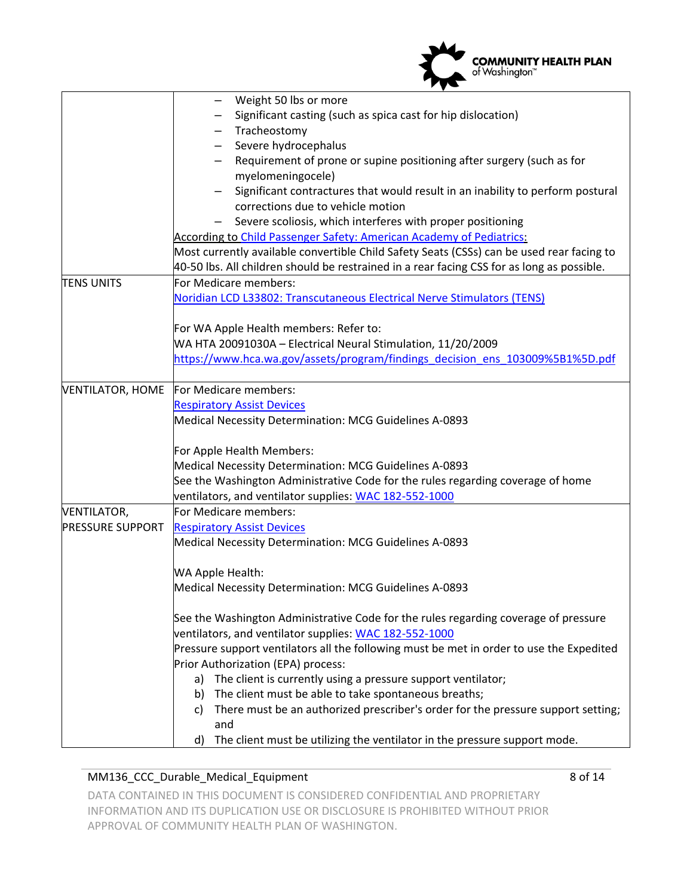|                                               | <b>COMMUNITY HEALTH PLAN</b><br>of Washington™                                                                                                                                                                                                                                                                                                                                                                                                                                                                                                                                                                                                                                                                                                                                                                |  |  |
|-----------------------------------------------|---------------------------------------------------------------------------------------------------------------------------------------------------------------------------------------------------------------------------------------------------------------------------------------------------------------------------------------------------------------------------------------------------------------------------------------------------------------------------------------------------------------------------------------------------------------------------------------------------------------------------------------------------------------------------------------------------------------------------------------------------------------------------------------------------------------|--|--|
|                                               | Weight 50 lbs or more<br>Significant casting (such as spica cast for hip dislocation)<br>Tracheostomy<br>Severe hydrocephalus<br>Requirement of prone or supine positioning after surgery (such as for<br>myelomeningocele)<br>Significant contractures that would result in an inability to perform postural<br>corrections due to vehicle motion<br>Severe scoliosis, which interferes with proper positioning<br>According to Child Passenger Safety: American Academy of Pediatrics:<br>Most currently available convertible Child Safety Seats (CSSs) can be used rear facing to<br>40-50 lbs. All children should be restrained in a rear facing CSS for as long as possible.                                                                                                                           |  |  |
| <b>TENS UNITS</b>                             | For Medicare members:<br>Noridian LCD L33802: Transcutaneous Electrical Nerve Stimulators (TENS)<br>For WA Apple Health members: Refer to:<br>WA HTA 20091030A - Electrical Neural Stimulation, 11/20/2009<br>https://www.hca.wa.gov/assets/program/findings_decision_ens_103009%5B1%5D.pdf                                                                                                                                                                                                                                                                                                                                                                                                                                                                                                                   |  |  |
| <b>VENTILATOR, HOME</b>                       | For Medicare members:<br><b>Respiratory Assist Devices</b><br>Medical Necessity Determination: MCG Guidelines A-0893<br>For Apple Health Members:<br>Medical Necessity Determination: MCG Guidelines A-0893<br>See the Washington Administrative Code for the rules regarding coverage of home<br>ventilators, and ventilator supplies: WAC 182-552-1000                                                                                                                                                                                                                                                                                                                                                                                                                                                      |  |  |
| <b>VENTILATOR,</b><br><b>PRESSURE SUPPORT</b> | For Medicare members:<br><b>Respiratory Assist Devices</b><br>Medical Necessity Determination: MCG Guidelines A-0893<br>WA Apple Health:<br>Medical Necessity Determination: MCG Guidelines A-0893<br>See the Washington Administrative Code for the rules regarding coverage of pressure<br>ventilators, and ventilator supplies: WAC 182-552-1000<br>Pressure support ventilators all the following must be met in order to use the Expedited<br>Prior Authorization (EPA) process:<br>The client is currently using a pressure support ventilator;<br>a)<br>The client must be able to take spontaneous breaths;<br>b)<br>There must be an authorized prescriber's order for the pressure support setting;<br>C)<br>and<br>The client must be utilizing the ventilator in the pressure support mode.<br>d) |  |  |

### MM136\_CCC\_Durable\_Medical\_Equipment 8 of 14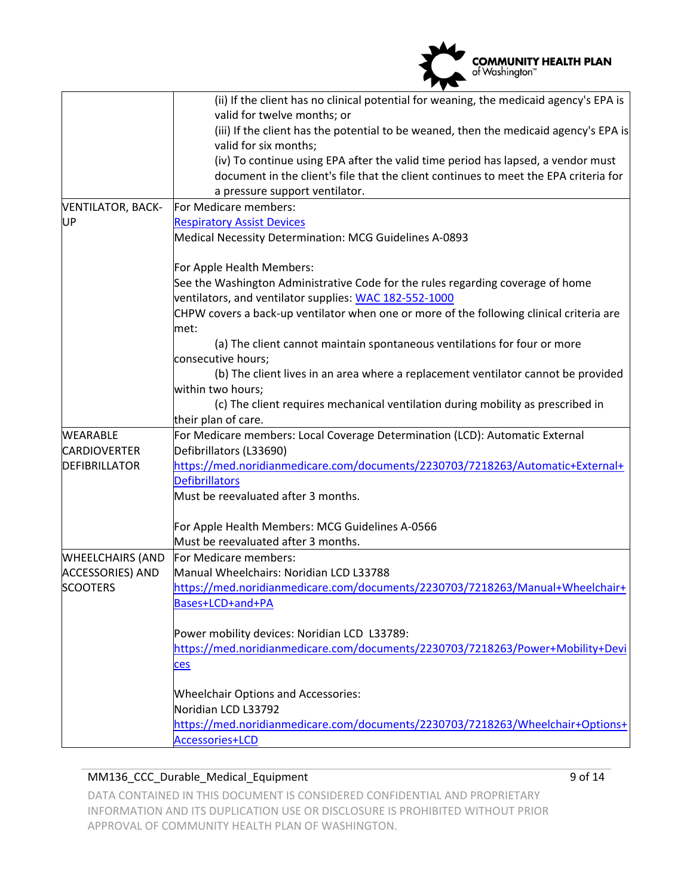

|                          | (ii) If the client has no clinical potential for weaning, the medicaid agency's EPA is                         |  |  |
|--------------------------|----------------------------------------------------------------------------------------------------------------|--|--|
|                          | valid for twelve months; or                                                                                    |  |  |
|                          | (iii) If the client has the potential to be weaned, then the medicaid agency's EPA is<br>valid for six months; |  |  |
|                          | (iv) To continue using EPA after the valid time period has lapsed, a vendor must                               |  |  |
|                          | document in the client's file that the client continues to meet the EPA criteria for                           |  |  |
|                          | a pressure support ventilator.                                                                                 |  |  |
| <b>VENTILATOR, BACK-</b> | For Medicare members:                                                                                          |  |  |
| UP                       | <b>Respiratory Assist Devices</b>                                                                              |  |  |
|                          | Medical Necessity Determination: MCG Guidelines A-0893                                                         |  |  |
|                          | For Apple Health Members:                                                                                      |  |  |
|                          | See the Washington Administrative Code for the rules regarding coverage of home                                |  |  |
|                          | ventilators, and ventilator supplies: WAC 182-552-1000                                                         |  |  |
|                          | CHPW covers a back-up ventilator when one or more of the following clinical criteria are                       |  |  |
|                          | met:                                                                                                           |  |  |
|                          | (a) The client cannot maintain spontaneous ventilations for four or more                                       |  |  |
|                          | consecutive hours;                                                                                             |  |  |
|                          | (b) The client lives in an area where a replacement ventilator cannot be provided                              |  |  |
|                          | within two hours;                                                                                              |  |  |
|                          | (c) The client requires mechanical ventilation during mobility as prescribed in                                |  |  |
|                          | their plan of care.                                                                                            |  |  |
| <b>WEARABLE</b>          | For Medicare members: Local Coverage Determination (LCD): Automatic External                                   |  |  |
| <b>CARDIOVERTER</b>      | Defibrillators (L33690)                                                                                        |  |  |
| <b>DEFIBRILLATOR</b>     | https://med.noridianmedicare.com/documents/2230703/7218263/Automatic+External+                                 |  |  |
|                          | <b>Defibrillators</b>                                                                                          |  |  |
|                          | Must be reevaluated after 3 months.                                                                            |  |  |
|                          | For Apple Health Members: MCG Guidelines A-0566                                                                |  |  |
|                          | Must be reevaluated after 3 months.                                                                            |  |  |
| <b>WHEELCHAIRS (AND</b>  | For Medicare members:                                                                                          |  |  |
| <b>ACCESSORIES) AND</b>  | Manual Wheelchairs: Noridian LCD L33788                                                                        |  |  |
| <b>SCOOTERS</b>          | https://med.noridianmedicare.com/documents/2230703/7218263/Manual+Wheelchair+                                  |  |  |
|                          | Bases+LCD+and+PA                                                                                               |  |  |
|                          | Power mobility devices: Noridian LCD L33789:                                                                   |  |  |
|                          | https://med.noridianmedicare.com/documents/2230703/7218263/Power+Mobility+Devi                                 |  |  |
|                          | ces                                                                                                            |  |  |
|                          | <b>Wheelchair Options and Accessories:</b>                                                                     |  |  |
|                          | Noridian LCD L33792                                                                                            |  |  |
|                          | https://med.noridianmedicare.com/documents/2230703/7218263/Wheelchair+Options+                                 |  |  |
|                          | Accessories+LCD                                                                                                |  |  |

#### MM136\_CCC\_Durable\_Medical\_Equipment 9 of 14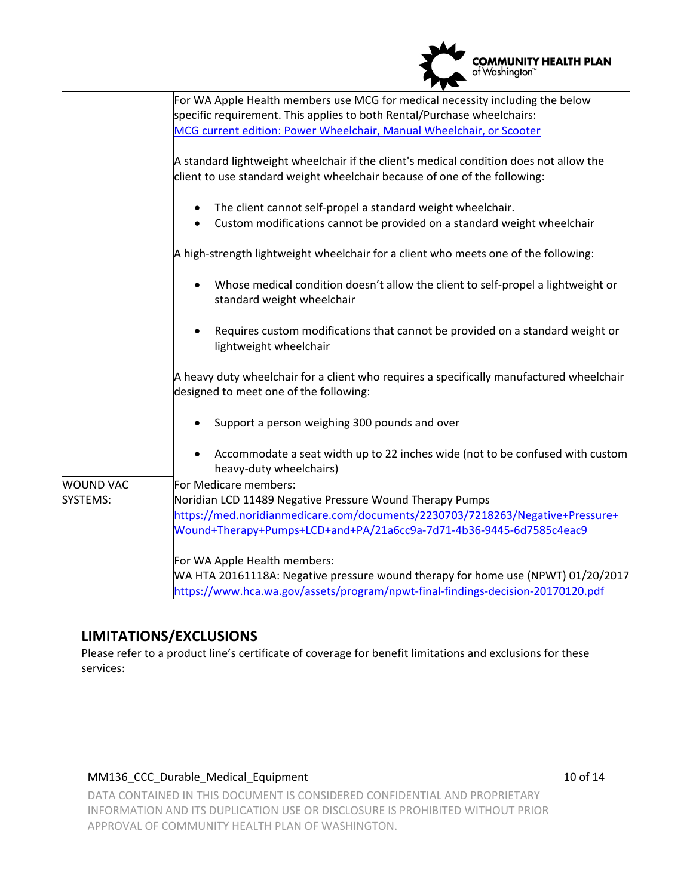|                  | <b>COMMUNITY HEALTH PLAN</b><br>of Washington™                                                                                                                      |  |  |
|------------------|---------------------------------------------------------------------------------------------------------------------------------------------------------------------|--|--|
|                  | For WA Apple Health members use MCG for medical necessity including the below                                                                                       |  |  |
|                  | specific requirement. This applies to both Rental/Purchase wheelchairs:                                                                                             |  |  |
|                  | MCG current edition: Power Wheelchair, Manual Wheelchair, or Scooter                                                                                                |  |  |
|                  | A standard lightweight wheelchair if the client's medical condition does not allow the<br>client to use standard weight wheelchair because of one of the following: |  |  |
|                  |                                                                                                                                                                     |  |  |
|                  | The client cannot self-propel a standard weight wheelchair.                                                                                                         |  |  |
|                  | Custom modifications cannot be provided on a standard weight wheelchair                                                                                             |  |  |
|                  | A high-strength lightweight wheelchair for a client who meets one of the following:                                                                                 |  |  |
|                  | Whose medical condition doesn't allow the client to self-propel a lightweight or<br>standard weight wheelchair                                                      |  |  |
|                  | Requires custom modifications that cannot be provided on a standard weight or<br>lightweight wheelchair                                                             |  |  |
|                  | A heavy duty wheelchair for a client who requires a specifically manufactured wheelchair<br>designed to meet one of the following:                                  |  |  |
|                  | Support a person weighing 300 pounds and over                                                                                                                       |  |  |
|                  | Accommodate a seat width up to 22 inches wide (not to be confused with custom<br>heavy-duty wheelchairs)                                                            |  |  |
| <b>WOUND VAC</b> | For Medicare members:                                                                                                                                               |  |  |
| SYSTEMS:         | Noridian LCD 11489 Negative Pressure Wound Therapy Pumps                                                                                                            |  |  |
|                  | https://med.noridianmedicare.com/documents/2230703/7218263/Negative+Pressure+                                                                                       |  |  |
|                  | Wound+Therapy+Pumps+LCD+and+PA/21a6cc9a-7d71-4b36-9445-6d7585c4eac9                                                                                                 |  |  |
|                  | For WA Apple Health members:                                                                                                                                        |  |  |
|                  | WA HTA 20161118A: Negative pressure wound therapy for home use (NPWT) 01/20/2017                                                                                    |  |  |
|                  | https://www.hca.wa.gov/assets/program/npwt-final-findings-decision-20170120.pdf                                                                                     |  |  |

# **LIMITATIONS/EXCLUSIONS**

Please refer to a product line's certificate of coverage for benefit limitations and exclusions for these services:

### MM136\_CCC\_Durable\_Medical\_Equipment 10 of 14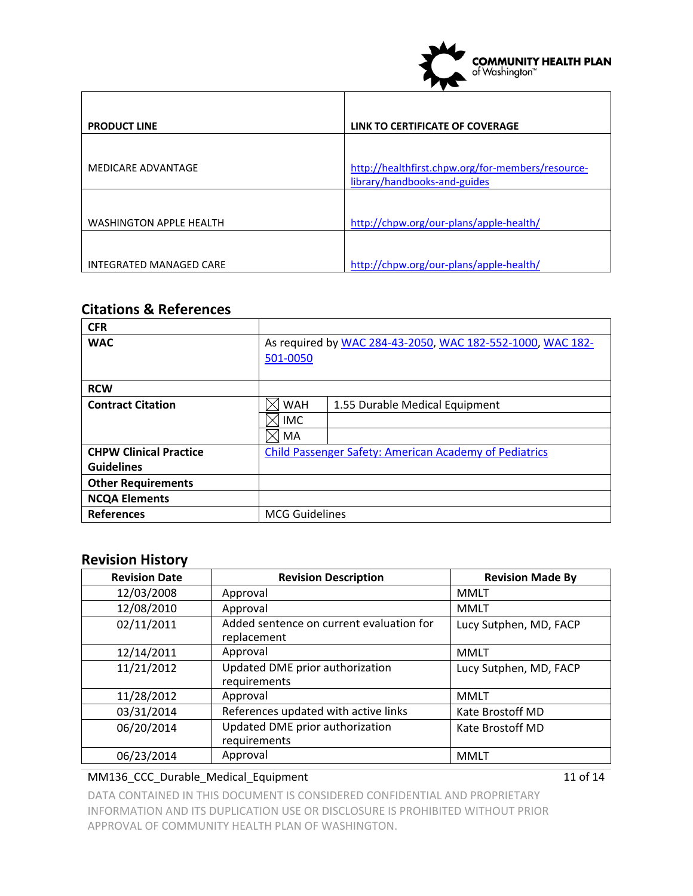

| <b>PRODUCT LINE</b>            | LINK TO CERTIFICATE OF COVERAGE                                                   |
|--------------------------------|-----------------------------------------------------------------------------------|
|                                |                                                                                   |
| MEDICARE ADVANTAGE             | http://healthfirst.chpw.org/for-members/resource-<br>library/handbooks-and-guides |
|                                |                                                                                   |
| <b>WASHINGTON APPLE HEALTH</b> | http://chpw.org/our-plans/apple-health/                                           |
|                                |                                                                                   |
| <b>INTEGRATED MANAGED CARE</b> | http://chpw.org/our-plans/apple-health/                                           |

# **Citations & References**

| <b>CFR</b>                    |                                                               |                                |
|-------------------------------|---------------------------------------------------------------|--------------------------------|
| <b>WAC</b>                    | As required by WAC 284-43-2050, WAC 182-552-1000, WAC 182-    |                                |
|                               | 501-0050                                                      |                                |
| <b>RCW</b>                    |                                                               |                                |
| <b>Contract Citation</b>      | <b>WAH</b>                                                    | 1.55 Durable Medical Equipment |
|                               | <b>IMC</b>                                                    |                                |
|                               | MA                                                            |                                |
| <b>CHPW Clinical Practice</b> | <b>Child Passenger Safety: American Academy of Pediatrics</b> |                                |
| <b>Guidelines</b>             |                                                               |                                |
| <b>Other Requirements</b>     |                                                               |                                |
| <b>NCQA Elements</b>          |                                                               |                                |
| <b>References</b>             | <b>MCG Guidelines</b>                                         |                                |

## **Revision History**

| <b>Revision Date</b> | <b>Revision Description</b>                             | <b>Revision Made By</b> |
|----------------------|---------------------------------------------------------|-------------------------|
| 12/03/2008           | Approval                                                | <b>MMLT</b>             |
| 12/08/2010           | Approval                                                | <b>MMLT</b>             |
| 02/11/2011           | Added sentence on current evaluation for<br>replacement | Lucy Sutphen, MD, FACP  |
| 12/14/2011           | Approval                                                | <b>MMLT</b>             |
| 11/21/2012           | Updated DME prior authorization<br>requirements         | Lucy Sutphen, MD, FACP  |
| 11/28/2012           | Approval                                                | <b>MMLT</b>             |
| 03/31/2014           | References updated with active links                    | Kate Brostoff MD        |
| 06/20/2014           | Updated DME prior authorization<br>requirements         | Kate Brostoff MD        |
| 06/23/2014           | Approval                                                | <b>MMLT</b>             |

## MM136\_CCC\_Durable\_Medical\_Equipment 11 of 14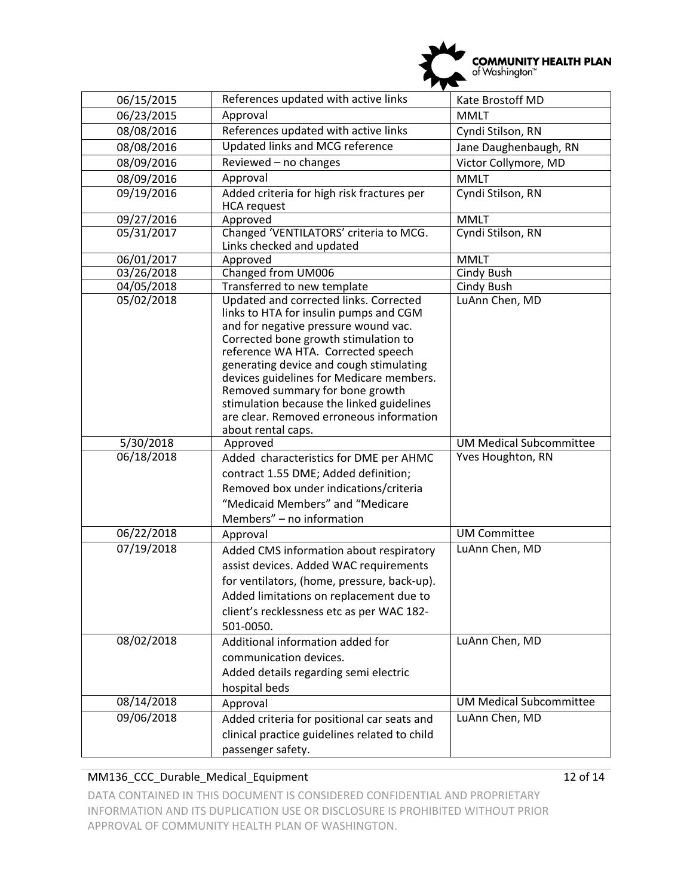

| 06/15/2015               | References updated with active links                                                                                                                                                                                                                                                                                                                                                                                                                                                                           | Kate Brostoff MD               |  |
|--------------------------|----------------------------------------------------------------------------------------------------------------------------------------------------------------------------------------------------------------------------------------------------------------------------------------------------------------------------------------------------------------------------------------------------------------------------------------------------------------------------------------------------------------|--------------------------------|--|
| 06/23/2015               | Approval<br><b>MMLT</b>                                                                                                                                                                                                                                                                                                                                                                                                                                                                                        |                                |  |
| 08/08/2016               | References updated with active links<br>Cyndi Stilson, RN                                                                                                                                                                                                                                                                                                                                                                                                                                                      |                                |  |
| 08/08/2016               | Updated links and MCG reference<br>Jane Daughenbaugh, RN                                                                                                                                                                                                                                                                                                                                                                                                                                                       |                                |  |
| 08/09/2016               | Reviewed - no changes                                                                                                                                                                                                                                                                                                                                                                                                                                                                                          | Victor Collymore, MD           |  |
| 08/09/2016               | Approval<br><b>MMLT</b>                                                                                                                                                                                                                                                                                                                                                                                                                                                                                        |                                |  |
| 09/19/2016               | Added criteria for high risk fractures per<br>Cyndi Stilson, RN<br><b>HCA</b> request                                                                                                                                                                                                                                                                                                                                                                                                                          |                                |  |
| 09/27/2016               | Approved                                                                                                                                                                                                                                                                                                                                                                                                                                                                                                       | <b>MMLT</b>                    |  |
| 05/31/2017               | Changed 'VENTILATORS' criteria to MCG.<br>Links checked and updated                                                                                                                                                                                                                                                                                                                                                                                                                                            | Cyndi Stilson, RN              |  |
| 06/01/2017               | Approved                                                                                                                                                                                                                                                                                                                                                                                                                                                                                                       | <b>MMLT</b>                    |  |
| 03/26/2018               | Changed from UM006                                                                                                                                                                                                                                                                                                                                                                                                                                                                                             | <b>Cindy Bush</b>              |  |
| 04/05/2018<br>05/02/2018 | Transferred to new template<br>Cindy Bush<br>Updated and corrected links. Corrected<br>LuAnn Chen, MD<br>links to HTA for insulin pumps and CGM<br>and for negative pressure wound vac.<br>Corrected bone growth stimulation to<br>reference WA HTA. Corrected speech<br>generating device and cough stimulating<br>devices guidelines for Medicare members.<br>Removed summary for bone growth<br>stimulation because the linked guidelines<br>are clear. Removed erroneous information<br>about rental caps. |                                |  |
| 5/30/2018                | Approved                                                                                                                                                                                                                                                                                                                                                                                                                                                                                                       | <b>UM Medical Subcommittee</b> |  |
| 06/18/2018               | Yves Houghton, RN<br>Added characteristics for DME per AHMC<br>contract 1.55 DME; Added definition;<br>Removed box under indications/criteria<br>"Medicaid Members" and "Medicare<br>Members" - no information                                                                                                                                                                                                                                                                                                 |                                |  |
| 06/22/2018               | Approval                                                                                                                                                                                                                                                                                                                                                                                                                                                                                                       | <b>UM Committee</b>            |  |
| 07/19/2018               | Added CMS information about respiratory<br>assist devices. Added WAC requirements<br>for ventilators, (home, pressure, back-up).<br>Added limitations on replacement due to<br>client's recklessness etc as per WAC 182-<br>501-0050.                                                                                                                                                                                                                                                                          | LuAnn Chen, MD                 |  |
| 08/02/2018               | Additional information added for<br>communication devices.<br>Added details regarding semi electric<br>hospital beds                                                                                                                                                                                                                                                                                                                                                                                           | LuAnn Chen, MD                 |  |
| 08/14/2018               | Approval                                                                                                                                                                                                                                                                                                                                                                                                                                                                                                       | <b>UM Medical Subcommittee</b> |  |
| 09/06/2018               | Added criteria for positional car seats and<br>clinical practice guidelines related to child<br>passenger safety.                                                                                                                                                                                                                                                                                                                                                                                              | LuAnn Chen, MD                 |  |

### MM136\_CCC\_Durable\_Medical\_Equipment 12 of 14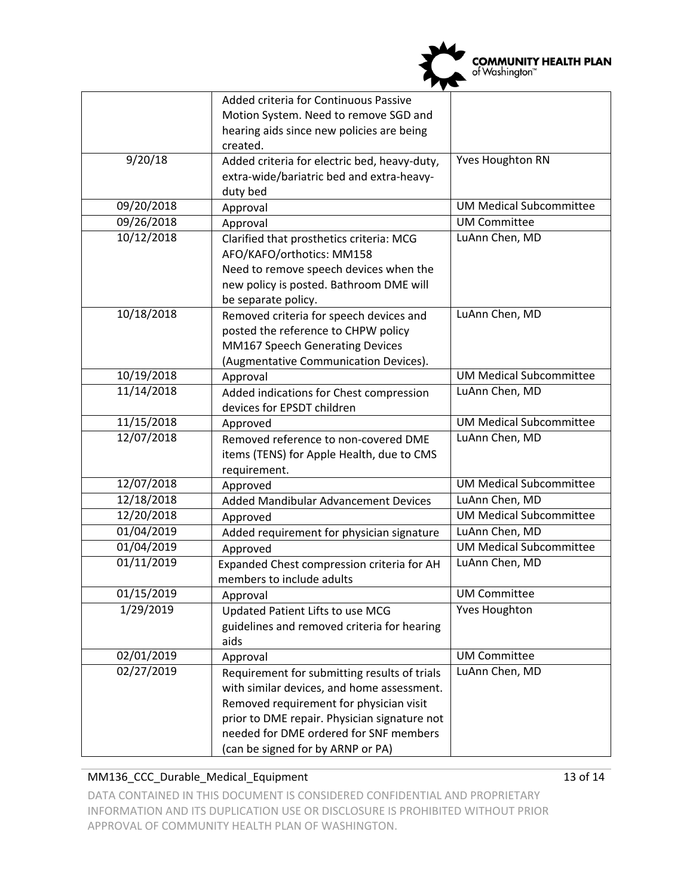

|            | Added criteria for Continuous Passive        |                                |  |
|------------|----------------------------------------------|--------------------------------|--|
|            | Motion System. Need to remove SGD and        |                                |  |
|            | hearing aids since new policies are being    |                                |  |
|            | created.                                     |                                |  |
| 9/20/18    | Added criteria for electric bed, heavy-duty, | <b>Yves Houghton RN</b>        |  |
|            | extra-wide/bariatric bed and extra-heavy-    |                                |  |
|            | duty bed                                     |                                |  |
| 09/20/2018 | Approval                                     | <b>UM Medical Subcommittee</b> |  |
| 09/26/2018 | Approval                                     | <b>UM Committee</b>            |  |
| 10/12/2018 | Clarified that prosthetics criteria: MCG     | LuAnn Chen, MD                 |  |
|            | AFO/KAFO/orthotics: MM158                    |                                |  |
|            | Need to remove speech devices when the       |                                |  |
|            | new policy is posted. Bathroom DME will      |                                |  |
|            | be separate policy.                          |                                |  |
| 10/18/2018 | Removed criteria for speech devices and      | LuAnn Chen, MD                 |  |
|            | posted the reference to CHPW policy          |                                |  |
|            | MM167 Speech Generating Devices              |                                |  |
|            | (Augmentative Communication Devices).        |                                |  |
| 10/19/2018 | Approval                                     | <b>UM Medical Subcommittee</b> |  |
| 11/14/2018 | Added indications for Chest compression      | LuAnn Chen, MD                 |  |
|            | devices for EPSDT children                   |                                |  |
| 11/15/2018 | Approved                                     | <b>UM Medical Subcommittee</b> |  |
| 12/07/2018 | Removed reference to non-covered DME         | LuAnn Chen, MD                 |  |
|            | items (TENS) for Apple Health, due to CMS    |                                |  |
|            | requirement.                                 |                                |  |
| 12/07/2018 | Approved                                     | <b>UM Medical Subcommittee</b> |  |
| 12/18/2018 | Added Mandibular Advancement Devices         | LuAnn Chen, MD                 |  |
| 12/20/2018 | Approved                                     | <b>UM Medical Subcommittee</b> |  |
| 01/04/2019 | Added requirement for physician signature    | LuAnn Chen, MD                 |  |
| 01/04/2019 | Approved                                     | <b>UM Medical Subcommittee</b> |  |
| 01/11/2019 | Expanded Chest compression criteria for AH   | LuAnn Chen, MD                 |  |
|            | members to include adults                    |                                |  |
| 01/15/2019 | Approval                                     | <b>UM Committee</b>            |  |
| 1/29/2019  | Updated Patient Lifts to use MCG             | <b>Yves Houghton</b>           |  |
|            | guidelines and removed criteria for hearing  |                                |  |
|            | aids                                         |                                |  |
| 02/01/2019 | Approval                                     | <b>UM Committee</b>            |  |
| 02/27/2019 | Requirement for submitting results of trials | LuAnn Chen, MD                 |  |
|            | with similar devices, and home assessment.   |                                |  |
|            | Removed requirement for physician visit      |                                |  |
|            | prior to DME repair. Physician signature not |                                |  |
|            | needed for DME ordered for SNF members       |                                |  |
|            | (can be signed for by ARNP or PA)            |                                |  |

#### MM136\_CCC\_Durable\_Medical\_Equipment 13 of 14